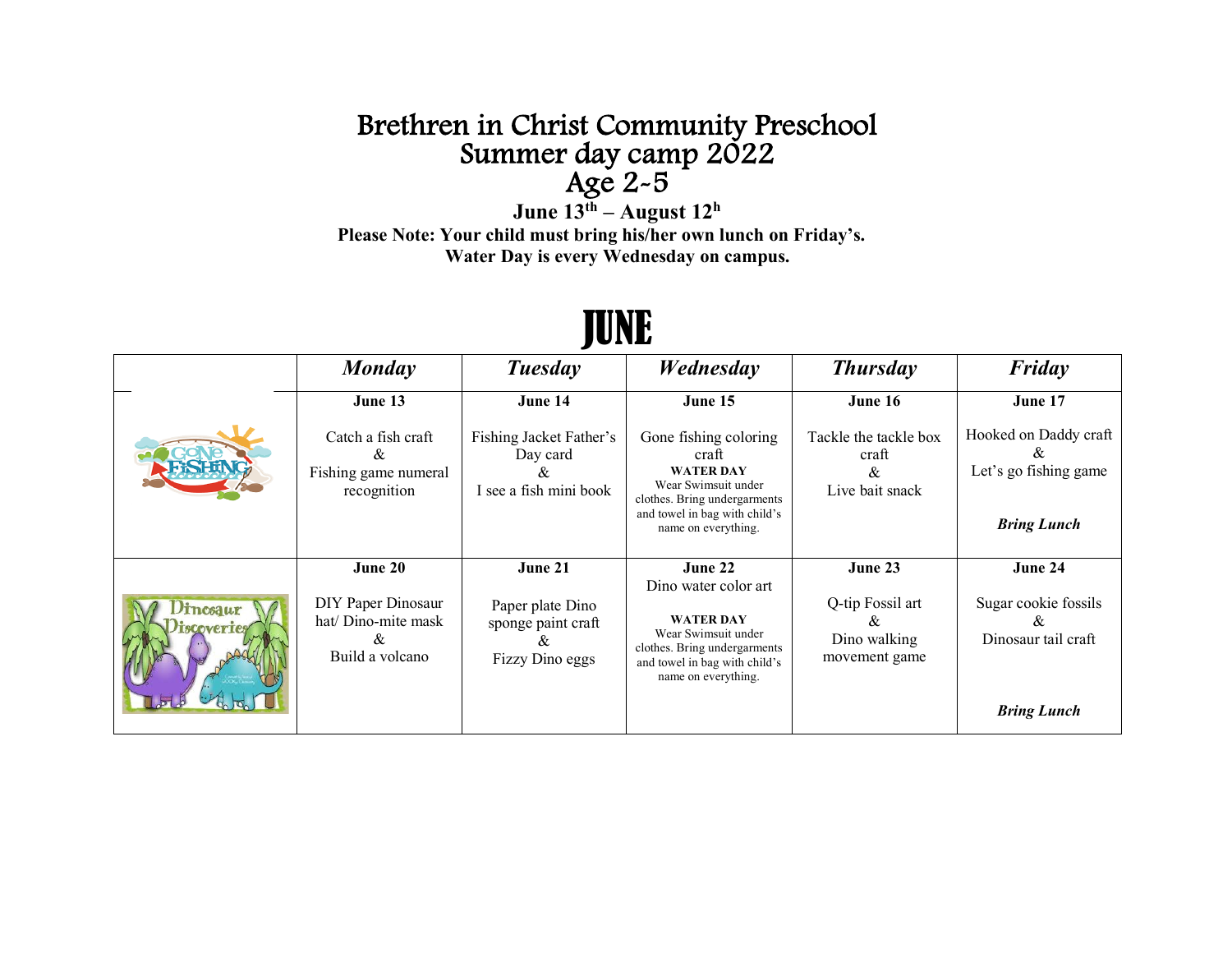## Brethren in Christ Community Preschool<br>Summer day camp 2022<br>Age  $2-5$ <br>June  $13<sup>th</sup>$  – August  $12<sup>h</sup>$

Please Note: Your child must bring his/her own lunch on Friday's. **Water Day is every Wednesday on campus.**

|                                  | Monday                                                                       | Tuesday                                                                       | Wednesday                                                                                                                                                                    | <b>Thursday</b>                                                   | Friday                                                                                |
|----------------------------------|------------------------------------------------------------------------------|-------------------------------------------------------------------------------|------------------------------------------------------------------------------------------------------------------------------------------------------------------------------|-------------------------------------------------------------------|---------------------------------------------------------------------------------------|
|                                  | June 13<br>Catch a fish craft<br>&<br>Fishing game numeral<br>recognition    | June 14<br>Fishing Jacket Father's<br>Day card<br>ά<br>I see a fish mini book | June 15<br>Gone fishing coloring<br>craft<br><b>WATER DAY</b><br>Wear Swimsuit under<br>clothes. Bring undergarments<br>and towel in bag with child's<br>name on everything. | June 16<br>Tackle the tackle box<br>craft<br>&<br>Live bait snack | June 17<br>Hooked on Daddy craft<br>8z<br>Let's go fishing game<br><b>Bring Lunch</b> |
| <i>incsaur</i><br><b>OVETTES</b> | June 20<br>DIY Paper Dinosaur<br>hat/ Dino-mite mask<br>&<br>Build a volcano | June 21<br>Paper plate Dino<br>sponge paint craft<br>Xv.<br>Fizzy Dino eggs   | June 22<br>Dino water color art<br><b>WATER DAY</b><br>Wear Swimsuit under<br>clothes. Bring undergarments<br>and towel in bag with child's<br>name on everything.           | June 23<br>Q-tip Fossil art<br>&<br>Dino walking<br>movement game | June 24<br>Sugar cookie fossils<br>X<br>Dinosaur tail craft<br><b>Bring Lunch</b>     |

## JUNE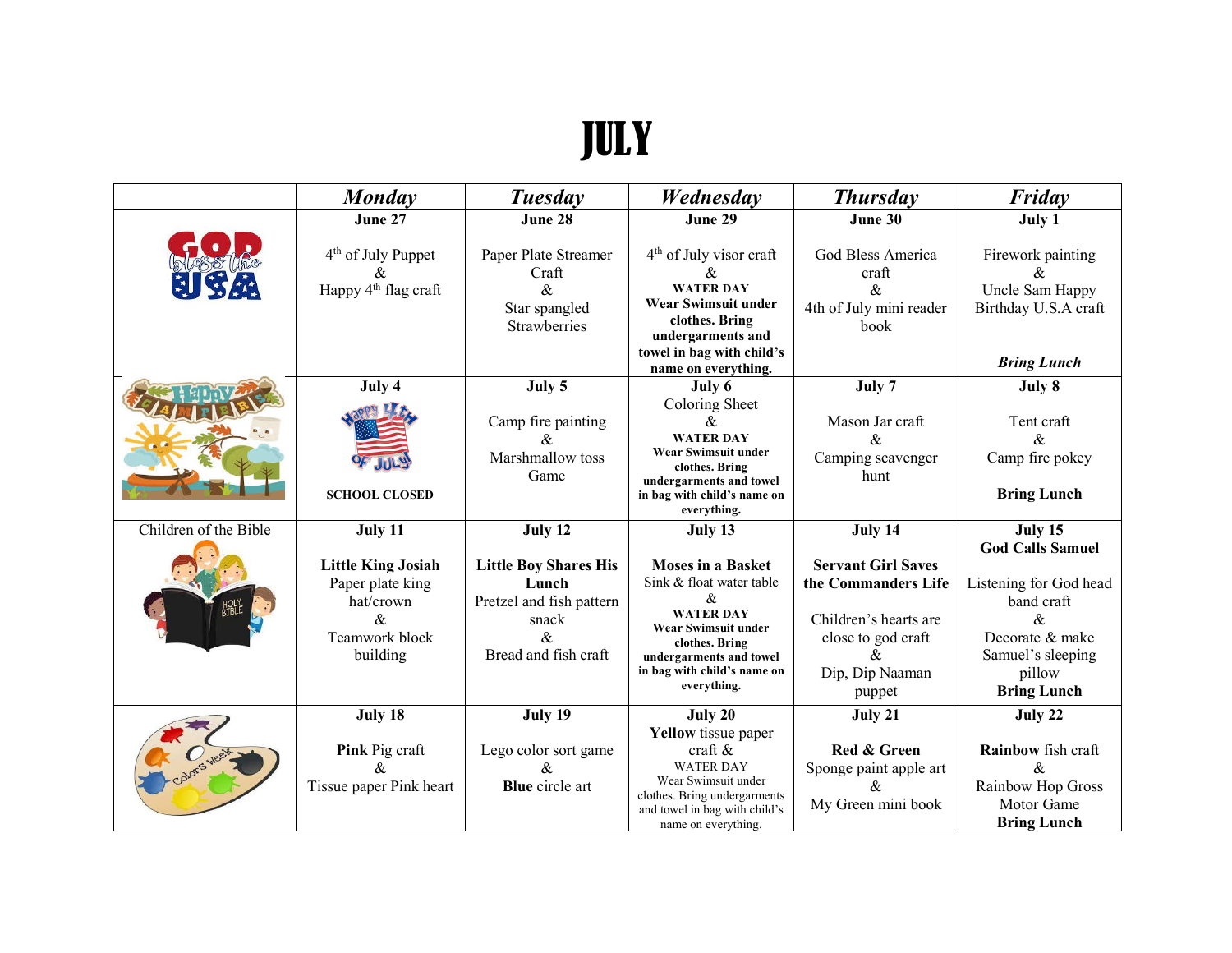## JULY

|                       | Monday                                                                                         | <b>Tuesday</b>                                                                                             | Wednesday                                                                                                                                                                                          | <b>Thursday</b>                                                                                                                                            | Friday                                                                                                                                                                 |
|-----------------------|------------------------------------------------------------------------------------------------|------------------------------------------------------------------------------------------------------------|----------------------------------------------------------------------------------------------------------------------------------------------------------------------------------------------------|------------------------------------------------------------------------------------------------------------------------------------------------------------|------------------------------------------------------------------------------------------------------------------------------------------------------------------------|
|                       | June 27                                                                                        | June 28                                                                                                    | June 29                                                                                                                                                                                            | June 30                                                                                                                                                    | July 1                                                                                                                                                                 |
| 医森                    | 4 <sup>th</sup> of July Puppet<br>Happy 4 <sup>th</sup> flag craft                             | Paper Plate Streamer<br>Craft<br>$\&$<br>Star spangled<br><b>Strawberries</b>                              | 4 <sup>th</sup> of July visor craft<br>&<br><b>WATER DAY</b><br><b>Wear Swimsuit under</b><br>clothes. Bring<br>undergarments and<br>towel in bag with child's<br>name on everything.              | God Bless America<br>craft<br>&<br>4th of July mini reader<br>book                                                                                         | Firework painting<br>&<br>Uncle Sam Happy<br>Birthday U.S.A craft<br><b>Bring Lunch</b>                                                                                |
|                       | July 4                                                                                         | July 5                                                                                                     | July 6                                                                                                                                                                                             | July 7                                                                                                                                                     | July 8                                                                                                                                                                 |
|                       | <b>SCHOOL CLOSED</b>                                                                           | Camp fire painting<br>&<br>Marshmallow toss<br>Game                                                        | Coloring Sheet<br>&<br><b>WATER DAY</b><br>Wear Swimsuit under<br>clothes. Bring<br>undergarments and towel<br>in bag with child's name on<br>everything.                                          | Mason Jar craft<br>$\&$<br>Camping scavenger<br>hunt                                                                                                       | Tent craft<br>&<br>Camp fire pokey<br><b>Bring Lunch</b>                                                                                                               |
| Children of the Bible | July 11                                                                                        | July 12                                                                                                    | July 13                                                                                                                                                                                            | July 14                                                                                                                                                    | July 15                                                                                                                                                                |
|                       | <b>Little King Josiah</b><br>Paper plate king<br>hat/crown<br>&.<br>Teamwork block<br>building | <b>Little Boy Shares His</b><br>Lunch<br>Pretzel and fish pattern<br>snack<br>$\&$<br>Bread and fish craft | <b>Moses in a Basket</b><br>Sink & float water table<br>$\&$<br><b>WATER DAY</b><br>Wear Swimsuit under<br>clothes. Bring<br>undergarments and towel<br>in bag with child's name on<br>everything. | <b>Servant Girl Saves</b><br>the Commanders Life<br>Children's hearts are<br>close to god craft<br>$\boldsymbol{\mathcal{R}}$<br>Dip, Dip Naaman<br>puppet | <b>God Calls Samuel</b><br>Listening for God head<br>band craft<br>$\mathcal{R}_{\mathcal{L}}$<br>Decorate & make<br>Samuel's sleeping<br>pillow<br><b>Bring Lunch</b> |
|                       | July 18<br>Pink Pig craft<br>&.<br>Tissue paper Pink heart                                     | July 19<br>Lego color sort game<br>&<br><b>Blue</b> circle art                                             | July 20<br><b>Yellow</b> tissue paper<br>craft $\&$<br><b>WATER DAY</b><br>Wear Swimsuit under<br>clothes. Bring undergarments<br>and towel in bag with child's<br>name on everything.             | July 21<br>Red & Green<br>Sponge paint apple art<br>&.<br>My Green mini book                                                                               | July 22<br>Rainbow fish craft<br>&<br>Rainbow Hop Gross<br>Motor Game<br><b>Bring Lunch</b>                                                                            |